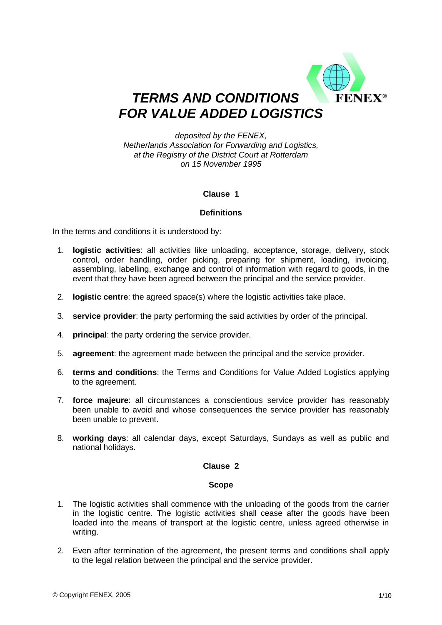

### *deposited by the FENEX, Netherlands Association for Forwarding and Logistics, at the Registry of the District Court at Rotterdam on 15 November 1995*

# **Clause 1**

# **Definitions**

In the terms and conditions it is understood by:

- 1. **logistic activities**: all activities like unloading, acceptance, storage, delivery, stock control, order handling, order picking, preparing for shipment, loading, invoicing, assembling, labelling, exchange and control of information with regard to goods, in the event that they have been agreed between the principal and the service provider.
- 2. **logistic centre**: the agreed space(s) where the logistic activities take place.
- 3. **service provider**: the party performing the said activities by order of the principal.
- 4. **principal**: the party ordering the service provider.
- 5. **agreement**: the agreement made between the principal and the service provider.
- 6. **terms and conditions**: the Terms and Conditions for Value Added Logistics applying to the agreement.
- 7. **force majeure**: all circumstances a conscientious service provider has reasonably been unable to avoid and whose consequences the service provider has reasonably been unable to prevent.
- 8. **working days**: all calendar days, except Saturdays, Sundays as well as public and national holidays.

# **Clause 2**

#### **Scope**

- 1. The logistic activities shall commence with the unloading of the goods from the carrier in the logistic centre. The logistic activities shall cease after the goods have been loaded into the means of transport at the logistic centre, unless agreed otherwise in writing.
- 2. Even after termination of the agreement, the present terms and conditions shall apply to the legal relation between the principal and the service provider.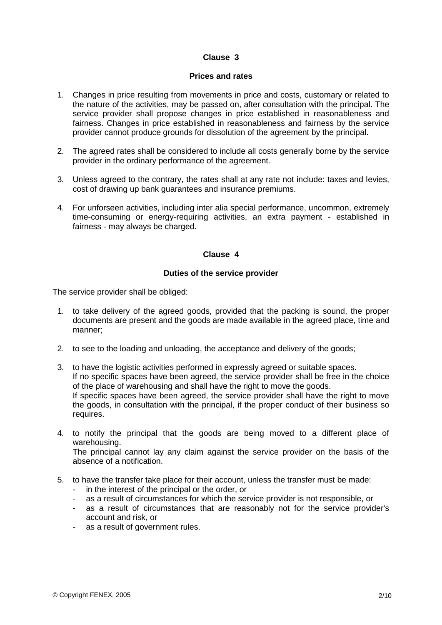#### **Prices and rates**

- 1. Changes in price resulting from movements in price and costs, customary or related to the nature of the activities, may be passed on, after consultation with the principal. The service provider shall propose changes in price established in reasonableness and fairness. Changes in price established in reasonableness and fairness by the service provider cannot produce grounds for dissolution of the agreement by the principal.
- 2. The agreed rates shall be considered to include all costs generally borne by the service provider in the ordinary performance of the agreement.
- 3. Unless agreed to the contrary, the rates shall at any rate not include: taxes and levies, cost of drawing up bank guarantees and insurance premiums.
- 4. For unforseen activities, including inter alia special performance, uncommon, extremely time-consuming or energy-requiring activities, an extra payment - established in fairness - may always be charged.

# **Clause 4**

#### **Duties of the service provider**

The service provider shall be obliged:

- 1. to take delivery of the agreed goods, provided that the packing is sound, the proper documents are present and the goods are made available in the agreed place, time and manner;
- 2. to see to the loading and unloading, the acceptance and delivery of the goods;
- 3. to have the logistic activities performed in expressly agreed or suitable spaces. If no specific spaces have been agreed, the service provider shall be free in the choice of the place of warehousing and shall have the right to move the goods. If specific spaces have been agreed, the service provider shall have the right to move the goods, in consultation with the principal, if the proper conduct of their business so requires.
- 4. to notify the principal that the goods are being moved to a different place of warehousing. The principal cannot lay any claim against the service provider on the basis of the absence of a notification.
- 5. to have the transfer take place for their account, unless the transfer must be made:
	- in the interest of the principal or the order, or
	- as a result of circumstances for which the service provider is not responsible, or
	- as a result of circumstances that are reasonably not for the service provider's account and risk, or
	- as a result of government rules.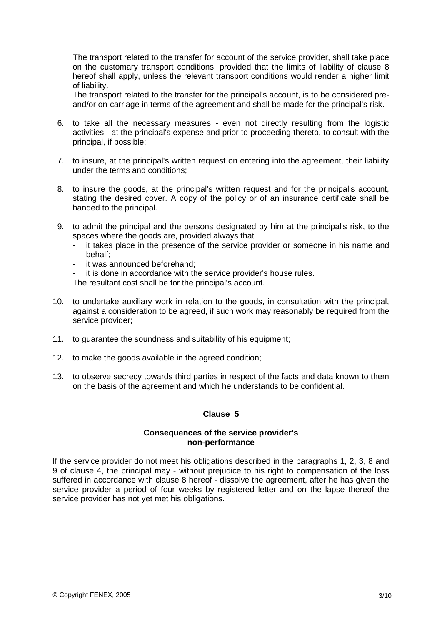The transport related to the transfer for account of the service provider, shall take place on the customary transport conditions, provided that the limits of liability of clause 8 hereof shall apply, unless the relevant transport conditions would render a higher limit of liability.

The transport related to the transfer for the principal's account, is to be considered preand/or on-carriage in terms of the agreement and shall be made for the principal's risk.

- 6. to take all the necessary measures even not directly resulting from the logistic activities - at the principal's expense and prior to proceeding thereto, to consult with the principal, if possible;
- 7. to insure, at the principal's written request on entering into the agreement, their liability under the terms and conditions;
- 8. to insure the goods, at the principal's written request and for the principal's account, stating the desired cover. A copy of the policy or of an insurance certificate shall be handed to the principal.
- 9. to admit the principal and the persons designated by him at the principal's risk, to the spaces where the goods are, provided always that
	- it takes place in the presence of the service provider or someone in his name and behalf;
	- it was announced beforehand;
	- it is done in accordance with the service provider's house rules.

The resultant cost shall be for the principal's account.

- 10. to undertake auxiliary work in relation to the goods, in consultation with the principal, against a consideration to be agreed, if such work may reasonably be required from the service provider;
- 11. to quarantee the soundness and suitability of his equipment:
- 12. to make the goods available in the agreed condition;
- 13. to observe secrecy towards third parties in respect of the facts and data known to them on the basis of the agreement and which he understands to be confidential.

# **Clause 5**

#### **Consequences of the service provider's non-performance**

If the service provider do not meet his obligations described in the paragraphs 1, 2, 3, 8 and 9 of clause 4, the principal may - without prejudice to his right to compensation of the loss suffered in accordance with clause 8 hereof - dissolve the agreement, after he has given the service provider a period of four weeks by registered letter and on the lapse thereof the service provider has not yet met his obligations.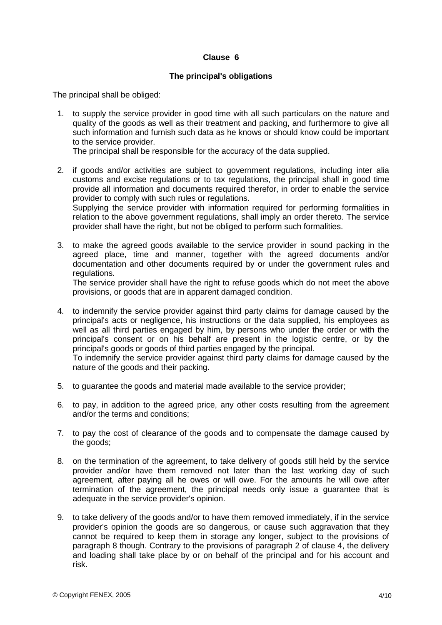### **The principal's obligations**

The principal shall be obliged:

 1. to supply the service provider in good time with all such particulars on the nature and quality of the goods as well as their treatment and packing, and furthermore to give all such information and furnish such data as he knows or should know could be important to the service provider.

The principal shall be responsible for the accuracy of the data supplied.

 2. if goods and/or activities are subject to government regulations, including inter alia customs and excise regulations or to tax regulations, the principal shall in good time provide all information and documents required therefor, in order to enable the service provider to comply with such rules or regulations. Supplying the service provider with information required for performing formalities in

relation to the above government regulations, shall imply an order thereto. The service provider shall have the right, but not be obliged to perform such formalities.

 3. to make the agreed goods available to the service provider in sound packing in the agreed place, time and manner, together with the agreed documents and/or documentation and other documents required by or under the government rules and regulations.

The service provider shall have the right to refuse goods which do not meet the above provisions, or goods that are in apparent damaged condition.

 4. to indemnify the service provider against third party claims for damage caused by the principal's acts or negligence, his instructions or the data supplied, his employees as well as all third parties engaged by him, by persons who under the order or with the principal's consent or on his behalf are present in the logistic centre, or by the principal's goods or goods of third parties engaged by the principal.

To indemnify the service provider against third party claims for damage caused by the nature of the goods and their packing.

- 5. to guarantee the goods and material made available to the service provider;
- 6. to pay, in addition to the agreed price, any other costs resulting from the agreement and/or the terms and conditions;
- 7. to pay the cost of clearance of the goods and to compensate the damage caused by the goods;
- 8. on the termination of the agreement, to take delivery of goods still held by the service provider and/or have them removed not later than the last working day of such agreement, after paying all he owes or will owe. For the amounts he will owe after termination of the agreement, the principal needs only issue a guarantee that is adequate in the service provider's opinion.
- 9. to take delivery of the goods and/or to have them removed immediately, if in the service provider's opinion the goods are so dangerous, or cause such aggravation that they cannot be required to keep them in storage any longer, subject to the provisions of paragraph 8 though. Contrary to the provisions of paragraph 2 of clause 4, the delivery and loading shall take place by or on behalf of the principal and for his account and risk.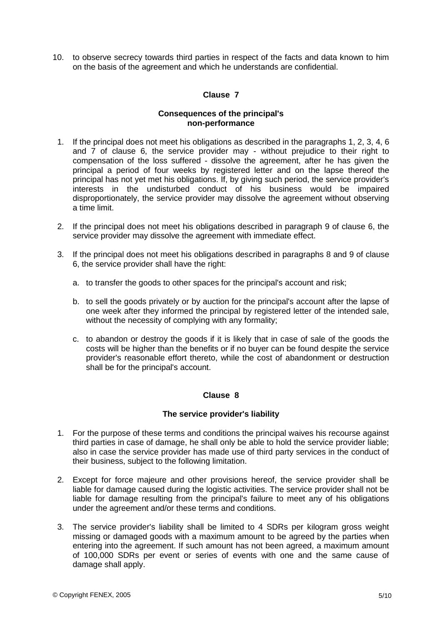10. to observe secrecy towards third parties in respect of the facts and data known to him on the basis of the agreement and which he understands are confidential.

# **Clause 7**

### **Consequences of the principal's non-performance**

- 1. If the principal does not meet his obligations as described in the paragraphs 1, 2, 3, 4, 6 and 7 of clause 6, the service provider may - without prejudice to their right to compensation of the loss suffered - dissolve the agreement, after he has given the principal a period of four weeks by registered letter and on the lapse thereof the principal has not yet met his obligations. If, by giving such period, the service provider's interests in the undisturbed conduct of his business would be impaired disproportionately, the service provider may dissolve the agreement without observing a time limit.
- 2. If the principal does not meet his obligations described in paragraph 9 of clause 6, the service provider may dissolve the agreement with immediate effect.
- 3. If the principal does not meet his obligations described in paragraphs 8 and 9 of clause 6, the service provider shall have the right:
	- a. to transfer the goods to other spaces for the principal's account and risk;
	- b. to sell the goods privately or by auction for the principal's account after the lapse of one week after they informed the principal by registered letter of the intended sale, without the necessity of complying with any formality;
	- c. to abandon or destroy the goods if it is likely that in case of sale of the goods the costs will be higher than the benefits or if no buyer can be found despite the service provider's reasonable effort thereto, while the cost of abandonment or destruction shall be for the principal's account.

# **Clause 8**

# **The service provider's liability**

- 1. For the purpose of these terms and conditions the principal waives his recourse against third parties in case of damage, he shall only be able to hold the service provider liable; also in case the service provider has made use of third party services in the conduct of their business, subject to the following limitation.
- 2. Except for force majeure and other provisions hereof, the service provider shall be liable for damage caused during the logistic activities. The service provider shall not be liable for damage resulting from the principal's failure to meet any of his obligations under the agreement and/or these terms and conditions.
- 3. The service provider's liability shall be limited to 4 SDRs per kilogram gross weight missing or damaged goods with a maximum amount to be agreed by the parties when entering into the agreement. If such amount has not been agreed, a maximum amount of 100,000 SDRs per event or series of events with one and the same cause of damage shall apply.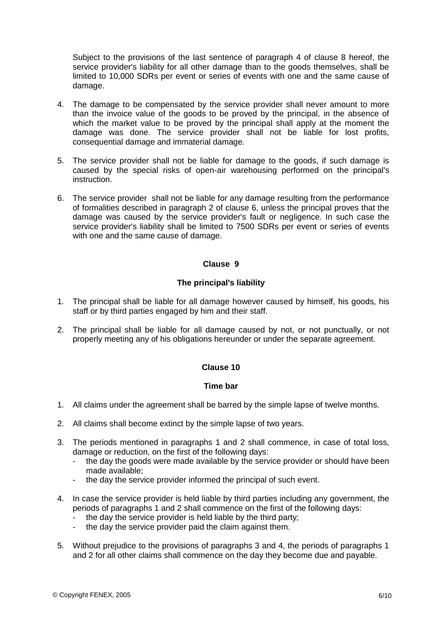Subject to the provisions of the last sentence of paragraph 4 of clause 8 hereof, the service provider's liability for all other damage than to the goods themselves, shall be limited to 10,000 SDRs per event or series of events with one and the same cause of damage.

- 4. The damage to be compensated by the service provider shall never amount to more than the invoice value of the goods to be proved by the principal, in the absence of which the market value to be proved by the principal shall apply at the moment the damage was done. The service provider shall not be liable for lost profits, consequential damage and immaterial damage.
- 5. The service provider shall not be liable for damage to the goods, if such damage is caused by the special risks of open-air warehousing performed on the principal's instruction.
- 6. The service provider shall not be liable for any damage resulting from the performance of formalities described in paragraph 2 of clause 6, unless the principal proves that the damage was caused by the service provider's fault or negligence. In such case the service provider's liability shall be limited to 7500 SDRs per event or series of events with one and the same cause of damage.

# **Clause 9**

# **The principal's liability**

- 1. The principal shall be liable for all damage however caused by himself, his goods, his staff or by third parties engaged by him and their staff.
- 2. The principal shall be liable for all damage caused by not, or not punctually, or not properly meeting any of his obligations hereunder or under the separate agreement.

# **Clause 10**

# **Time bar**

- 1. All claims under the agreement shall be barred by the simple lapse of twelve months.
- 2. All claims shall become extinct by the simple lapse of two years.
- 3. The periods mentioned in paragraphs 1 and 2 shall commence, in case of total loss, damage or reduction, on the first of the following days:
	- the day the goods were made available by the service provider or should have been made available;
	- the day the service provider informed the principal of such event.
- 4. In case the service provider is held liable by third parties including any government, the periods of paragraphs 1 and 2 shall commence on the first of the following days:
	- the day the service provider is held liable by the third party;
	- the day the service provider paid the claim against them.
- 5. Without prejudice to the provisions of paragraphs 3 and 4, the periods of paragraphs 1 and 2 for all other claims shall commence on the day they become due and payable.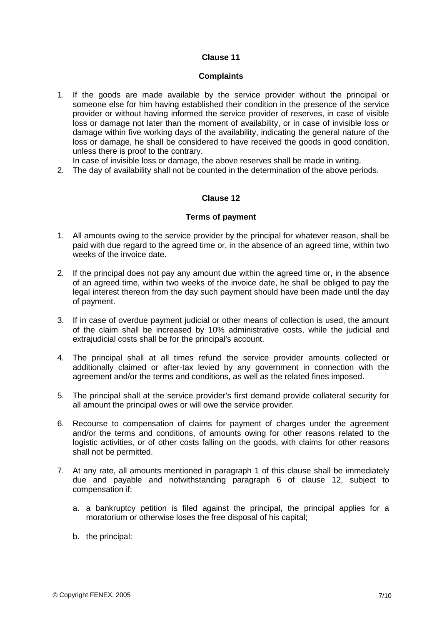### **Complaints**

- 1. If the goods are made available by the service provider without the principal or someone else for him having established their condition in the presence of the service provider or without having informed the service provider of reserves, in case of visible loss or damage not later than the moment of availability, or in case of invisible loss or damage within five working days of the availability, indicating the general nature of the loss or damage, he shall be considered to have received the goods in good condition, unless there is proof to the contrary.
- In case of invisible loss or damage, the above reserves shall be made in writing.
- 2. The day of availability shall not be counted in the determination of the above periods.

#### **Clause 12**

#### **Terms of payment**

- 1. All amounts owing to the service provider by the principal for whatever reason, shall be paid with due regard to the agreed time or, in the absence of an agreed time, within two weeks of the invoice date.
- 2. If the principal does not pay any amount due within the agreed time or, in the absence of an agreed time, within two weeks of the invoice date, he shall be obliged to pay the legal interest thereon from the day such payment should have been made until the day of payment.
- 3. If in case of overdue payment judicial or other means of collection is used, the amount of the claim shall be increased by 10% administrative costs, while the judicial and extrajudicial costs shall be for the principal's account.
- 4. The principal shall at all times refund the service provider amounts collected or additionally claimed or after-tax levied by any government in connection with the agreement and/or the terms and conditions, as well as the related fines imposed.
- 5. The principal shall at the service provider's first demand provide collateral security for all amount the principal owes or will owe the service provider.
- 6. Recourse to compensation of claims for payment of charges under the agreement and/or the terms and conditions, of amounts owing for other reasons related to the logistic activities, or of other costs falling on the goods, with claims for other reasons shall not be permitted.
- 7. At any rate, all amounts mentioned in paragraph 1 of this clause shall be immediately due and payable and notwithstanding paragraph 6 of clause 12, subject to compensation if:
	- a. a bankruptcy petition is filed against the principal, the principal applies for a moratorium or otherwise loses the free disposal of his capital;
	- b. the principal: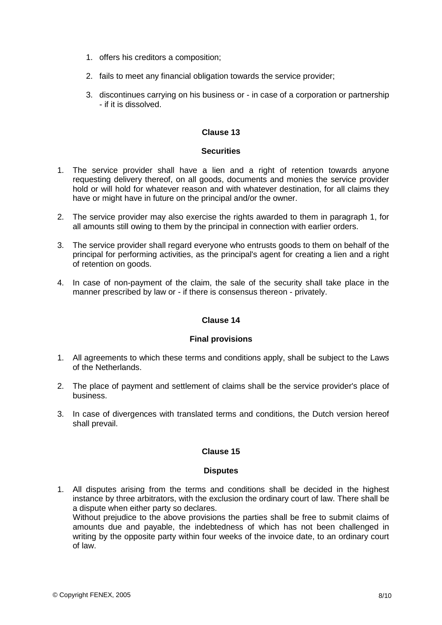- 1. offers his creditors a composition;
- 2. fails to meet any financial obligation towards the service provider;
- 3. discontinues carrying on his business or in case of a corporation or partnership - if it is dissolved.

#### **Securities**

- 1. The service provider shall have a lien and a right of retention towards anyone requesting delivery thereof, on all goods, documents and monies the service provider hold or will hold for whatever reason and with whatever destination, for all claims they have or might have in future on the principal and/or the owner.
- 2. The service provider may also exercise the rights awarded to them in paragraph 1, for all amounts still owing to them by the principal in connection with earlier orders.
- 3. The service provider shall regard everyone who entrusts goods to them on behalf of the principal for performing activities, as the principal's agent for creating a lien and a right of retention on goods.
- 4. In case of non-payment of the claim, the sale of the security shall take place in the manner prescribed by law or - if there is consensus thereon - privately.

# **Clause 14**

#### **Final provisions**

- 1. All agreements to which these terms and conditions apply, shall be subject to the Laws of the Netherlands.
- 2. The place of payment and settlement of claims shall be the service provider's place of business.
- 3. In case of divergences with translated terms and conditions, the Dutch version hereof shall prevail.

# **Clause 15**

#### **Disputes**

 1. All disputes arising from the terms and conditions shall be decided in the highest instance by three arbitrators, with the exclusion the ordinary court of law. There shall be a dispute when either party so declares. Without prejudice to the above provisions the parties shall be free to submit claims of amounts due and payable, the indebtedness of which has not been challenged in writing by the opposite party within four weeks of the invoice date, to an ordinary court of law.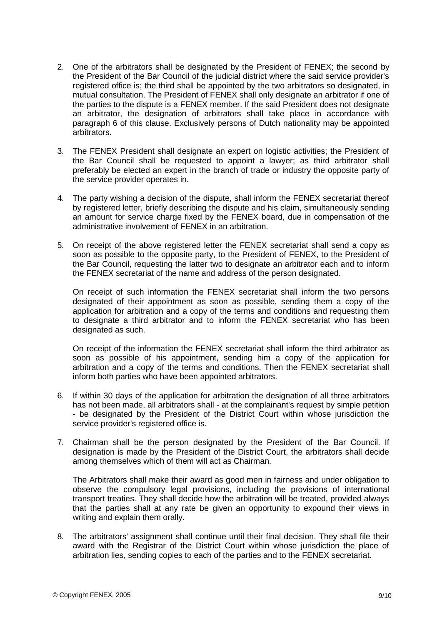- 2. One of the arbitrators shall be designated by the President of FENEX; the second by the President of the Bar Council of the judicial district where the said service provider's registered office is; the third shall be appointed by the two arbitrators so designated, in mutual consultation. The President of FENEX shall only designate an arbitrator if one of the parties to the dispute is a FENEX member. If the said President does not designate an arbitrator, the designation of arbitrators shall take place in accordance with paragraph 6 of this clause. Exclusively persons of Dutch nationality may be appointed arbitrators.
- 3. The FENEX President shall designate an expert on logistic activities; the President of the Bar Council shall be requested to appoint a lawyer; as third arbitrator shall preferably be elected an expert in the branch of trade or industry the opposite party of the service provider operates in.
- 4. The party wishing a decision of the dispute, shall inform the FENEX secretariat thereof by registered letter, briefly describing the dispute and his claim, simultaneously sending an amount for service charge fixed by the FENEX board, due in compensation of the administrative involvement of FENEX in an arbitration.
- 5. On receipt of the above registered letter the FENEX secretariat shall send a copy as soon as possible to the opposite party, to the President of FENEX, to the President of the Bar Council, requesting the latter two to designate an arbitrator each and to inform the FENEX secretariat of the name and address of the person designated.

On receipt of such information the FENEX secretariat shall inform the two persons designated of their appointment as soon as possible, sending them a copy of the application for arbitration and a copy of the terms and conditions and requesting them to designate a third arbitrator and to inform the FENEX secretariat who has been designated as such.

On receipt of the information the FENEX secretariat shall inform the third arbitrator as soon as possible of his appointment, sending him a copy of the application for arbitration and a copy of the terms and conditions. Then the FENEX secretariat shall inform both parties who have been appointed arbitrators.

- 6. If within 30 days of the application for arbitration the designation of all three arbitrators has not been made, all arbitrators shall - at the complainant's request by simple petition - be designated by the President of the District Court within whose jurisdiction the service provider's registered office is.
- 7. Chairman shall be the person designated by the President of the Bar Council. If designation is made by the President of the District Court, the arbitrators shall decide among themselves which of them will act as Chairman.

The Arbitrators shall make their award as good men in fairness and under obligation to observe the compulsory legal provisions, including the provisions of international transport treaties. They shall decide how the arbitration will be treated, provided always that the parties shall at any rate be given an opportunity to expound their views in writing and explain them orally.

 8. The arbitrators' assignment shall continue until their final decision. They shall file their award with the Registrar of the District Court within whose jurisdiction the place of arbitration lies, sending copies to each of the parties and to the FENEX secretariat.